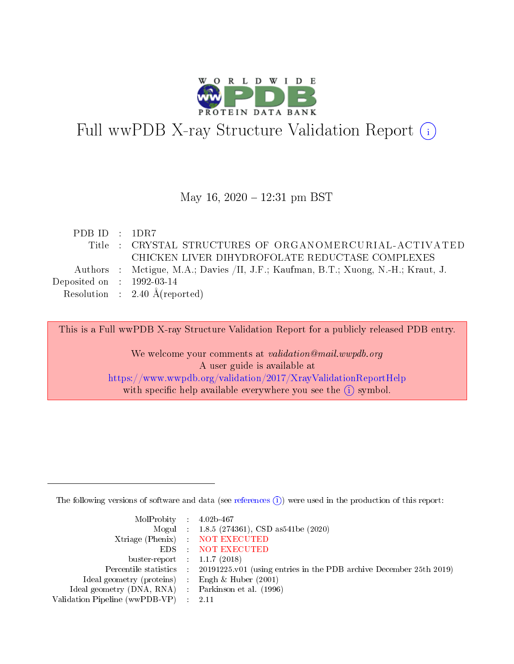

# Full wwPDB X-ray Structure Validation Report (i)

#### May 16,  $2020 - 12:31$  pm BST

| PDB ID : $1DR7$             |                                                                                   |
|-----------------------------|-----------------------------------------------------------------------------------|
|                             | Title : CRYSTAL STRUCTURES OF ORGANOMERCURIAL-ACTIVATED                           |
|                             | CHICKEN LIVER DIHYDROFOLATE REDUCTASE COMPLEXES                                   |
|                             | Authors : Metigue, M.A.; Davies /II, J.F.; Kaufman, B.T.; Xuong, N.-H.; Kraut, J. |
| Deposited on : $1992-03-14$ |                                                                                   |
|                             | Resolution : $2.40 \text{ Å}$ (reported)                                          |
|                             |                                                                                   |

This is a Full wwPDB X-ray Structure Validation Report for a publicly released PDB entry.

We welcome your comments at validation@mail.wwpdb.org A user guide is available at <https://www.wwpdb.org/validation/2017/XrayValidationReportHelp> with specific help available everywhere you see the  $(i)$  symbol.

The following versions of software and data (see [references](https://www.wwpdb.org/validation/2017/XrayValidationReportHelp#references)  $(i)$ ) were used in the production of this report:

| MolProbity : $4.02b-467$                            |                                                                                            |
|-----------------------------------------------------|--------------------------------------------------------------------------------------------|
|                                                     | Mogul : 1.8.5 (274361), CSD as 541be (2020)                                                |
|                                                     | Xtriage (Phenix) NOT EXECUTED                                                              |
|                                                     | EDS : NOT EXECUTED                                                                         |
| buster-report : $1.1.7(2018)$                       |                                                                                            |
|                                                     | Percentile statistics : 20191225.v01 (using entries in the PDB archive December 25th 2019) |
| Ideal geometry (proteins) : Engh $\&$ Huber (2001)  |                                                                                            |
| Ideal geometry (DNA, RNA) : Parkinson et al. (1996) |                                                                                            |
| Validation Pipeline (wwPDB-VP) : 2.11               |                                                                                            |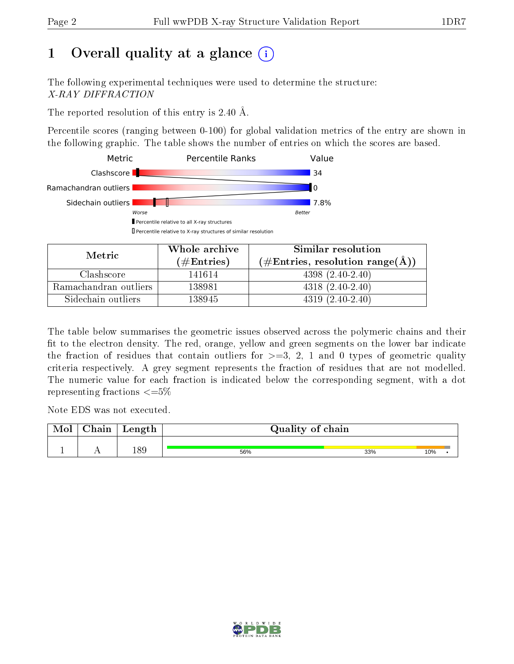## 1 [O](https://www.wwpdb.org/validation/2017/XrayValidationReportHelp#overall_quality)verall quality at a glance  $(i)$

The following experimental techniques were used to determine the structure: X-RAY DIFFRACTION

The reported resolution of this entry is 2.40 Å.

Percentile scores (ranging between 0-100) for global validation metrics of the entry are shown in the following graphic. The table shows the number of entries on which the scores are based.



| Metric.               | Whole archive       | Similar resolution                                       |
|-----------------------|---------------------|----------------------------------------------------------|
|                       | (# $\rm{Entries}$ ) | $(\#\text{Entries}, \text{resolution range}(\text{\AA})$ |
| Clashscore            | 141614              | $4398(2.40-2.40)$                                        |
| Ramachandran outliers | 138981              | $4318(2.40-2.40)$                                        |
| Sidechain outliers    | 138945              | $4319(2.40-2.40)$                                        |

The table below summarises the geometric issues observed across the polymeric chains and their fit to the electron density. The red, orange, yellow and green segments on the lower bar indicate the fraction of residues that contain outliers for  $\geq=3$ , 2, 1 and 0 types of geometric quality criteria respectively. A grey segment represents the fraction of residues that are not modelled. The numeric value for each fraction is indicated below the corresponding segment, with a dot representing fractions  $\leq=5\%$ 

Note EDS was not executed.

| Mol | ${\rm Chain}$ | Length | Quality of chain |     |     |  |  |  |
|-----|---------------|--------|------------------|-----|-----|--|--|--|
|     |               | ∣ Q O  | 56%              | 33% | 10% |  |  |  |

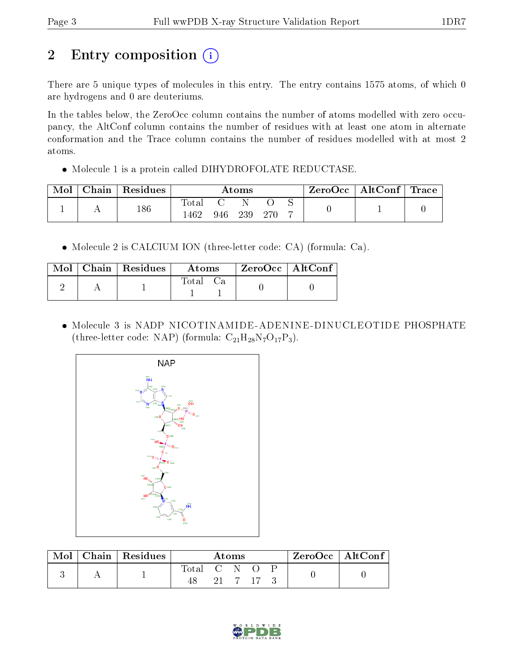# 2 Entry composition (i)

There are 5 unique types of molecules in this entry. The entry contains 1575 atoms, of which 0 are hydrogens and 0 are deuteriums.

In the tables below, the ZeroOcc column contains the number of atoms modelled with zero occupancy, the AltConf column contains the number of residues with at least one atom in alternate conformation and the Trace column contains the number of residues modelled with at most 2 atoms.

Molecule 1 is a protein called DIHYDROFOLATE REDUCTASE.

| Mol | ${\rm Chain}$ | Residues | $\rm{Atoms}$  |     |     | ZeroOcc   AltConf   Trace |  |  |  |
|-----|---------------|----------|---------------|-----|-----|---------------------------|--|--|--|
|     |               | 186      | Totar<br>.462 | 946 | 239 | -270                      |  |  |  |

Molecule 2 is CALCIUM ION (three-letter code: CA) (formula: Ca).

|  | $\text{Mol}$   Chain   Residues | <b>Atoms</b> |  | ZeroOcc   AltConf |  |
|--|---------------------------------|--------------|--|-------------------|--|
|  |                                 | Total Ca     |  |                   |  |

 Molecule 3 is NADP NICOTINAMIDE-ADENINE-DINUCLEOTIDE PHOSPHATE (three-letter code: NAP) (formula:  $C_{21}H_{28}N_7O_{17}P_3$ ).



| Mol | Chain   Residues | Atoms             |  |  |          | $\rm ZeroOcc \mid AltConf$ |  |  |
|-----|------------------|-------------------|--|--|----------|----------------------------|--|--|
|     |                  | Total C N O<br>48 |  |  | - 17 - 3 |                            |  |  |

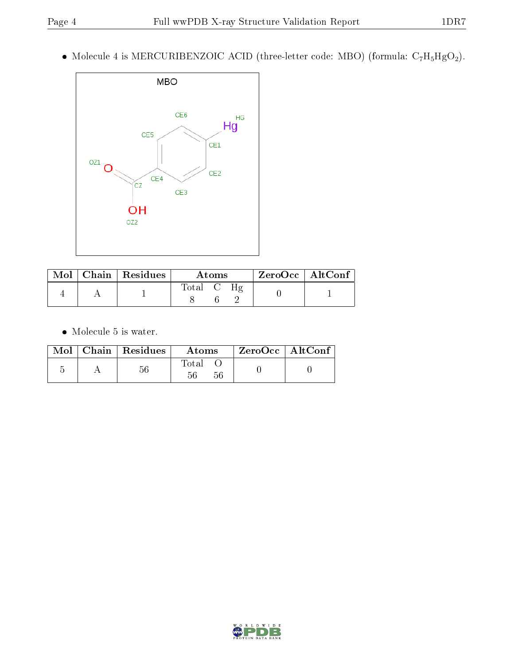• Molecule 4 is MERCURIBENZOIC ACID (three-letter code: MBO) (formula:  $C_7H_5HgO_2$ ).



|  | $Mol$   Chain   Residues | Atoms  | $ZeroOcc \   \ AltConf$ |
|--|--------------------------|--------|-------------------------|
|  |                          | l`otal |                         |

 $\bullet\,$  Molecule 5 is water.

|  | $Mol$   Chain   Residues | Atoms       | $ZeroOcc \mid AltConf \mid$ |
|--|--------------------------|-------------|-----------------------------|
|  | 56                       | Total<br>56 |                             |

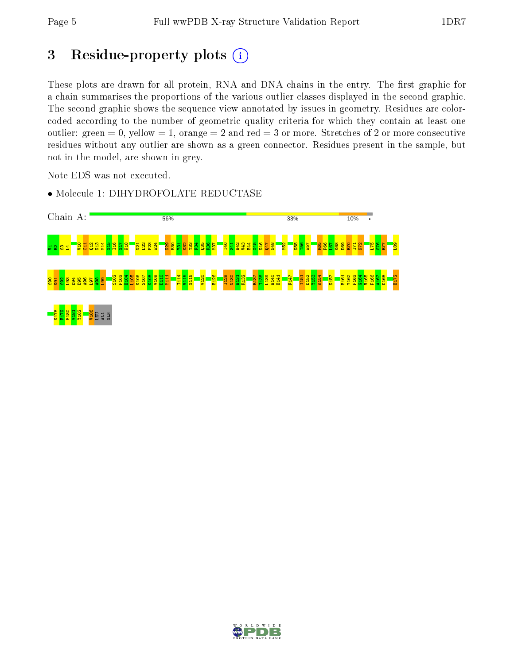## 3 Residue-property plots (i)

These plots are drawn for all protein, RNA and DNA chains in the entry. The first graphic for a chain summarises the proportions of the various outlier classes displayed in the second graphic. The second graphic shows the sequence view annotated by issues in geometry. Residues are colorcoded according to the number of geometric quality criteria for which they contain at least one outlier: green  $= 0$ , yellow  $= 1$ , orange  $= 2$  and red  $= 3$  or more. Stretches of 2 or more consecutive residues without any outlier are shown as a green connector. Residues present in the sample, but not in the model, are shown in grey.

Note EDS was not executed.



• Molecule 1: DIHYDROFOLATE REDUCTASE

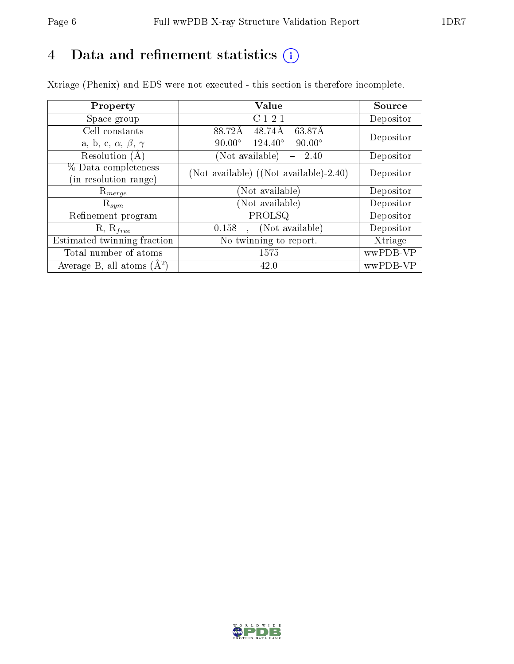## 4 Data and refinement statistics  $(i)$

Xtriage (Phenix) and EDS were not executed - this section is therefore incomplete.

| Property                               | Value                                              | Source    |  |
|----------------------------------------|----------------------------------------------------|-----------|--|
| Space group                            | C121                                               | Depositor |  |
| Cell constants                         | 88.72Å<br>48.74Å<br>63.87Å                         | Depositor |  |
| a, b, c, $\alpha$ , $\beta$ , $\gamma$ | $124.40^{\circ}$<br>$90.00^\circ$<br>$90.00^\circ$ |           |  |
| Resolution (A)                         | (Not available)<br>2.40                            | Depositor |  |
| % Data completeness                    | (Not available) $(Not available) - 2.40)$          | Depositor |  |
| (in resolution range)                  |                                                    |           |  |
| $\mathrm{R}_{merge}$                   | (Not available)                                    | Depositor |  |
| $\mathrm{R}_{sym}$                     | (Not available)                                    | Depositor |  |
| Refinement program                     | PROLSQ                                             | Depositor |  |
| $R, R_{free}$                          | (Not available)<br>0.158<br>$\ddot{\phantom{1}}$   | Depositor |  |
| Estimated twinning fraction            | No twinning to report.                             | Xtriage   |  |
| Total number of atoms                  | 1575                                               | wwPDB-VP  |  |
| Average B, all atoms $(A^2)$           | 42.0                                               | wwPDB-VP  |  |

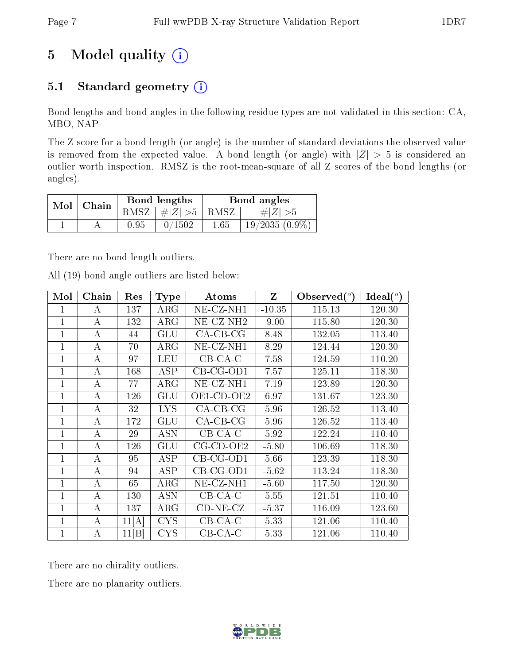## 5 Model quality  $(i)$

## 5.1 Standard geometry  $(i)$

Bond lengths and bond angles in the following residue types are not validated in this section: CA, MBO, NAP

The Z score for a bond length (or angle) is the number of standard deviations the observed value is removed from the expected value. A bond length (or angle) with  $|Z| > 5$  is considered an outlier worth inspection. RMSZ is the root-mean-square of all Z scores of the bond lengths (or angles).

| $Mol$   Chain |      | Bond lengths                        |      | Bond angles      |
|---------------|------|-------------------------------------|------|------------------|
|               |      | RMSZ $\mid \#Z \mid >5$ RMSZ $\mid$ |      | $\# Z  > 5$      |
|               | 0.95 | 0/1502                              | 1.65 | $19/2035(0.9\%)$ |

There are no bond length outliers.

All (19) bond angle outliers are listed below:

| Mol            | Chain            | Res   | <b>Type</b> | Atoms                    | Z        | Observed $(°)$ | Ideal $(^\circ)$ |
|----------------|------------------|-------|-------------|--------------------------|----------|----------------|------------------|
|                | А                | 137   | $\rm{ARG}$  | $NE- CZ-NH1$             | $-10.35$ | 115.13         | 120.30           |
| 1              | A                | 132   | $\rm{ARG}$  | $NE$ -CZ-NH <sub>2</sub> | $-9.00$  | 115.80         | 120.30           |
| 1              | А                | 44    | GLU         | $CA$ -CB-CG              | 8.48     | 132.05         | 113.40           |
|                | А                | 70    | $\rm{ARG}$  | NE-CZ-NH1                | 8.29     | 124.44         | 120.30           |
| 1              | $\mathbf{A}$     | 97    | LEU         | $CB$ -CA-C               | 7.58     | 124.59         | 110.20           |
| 1              | А                | 168   | ASP         | $CB-CG-OD1$              | 7.57     | 125.11         | 118.30           |
| 1              | $\bf{A}$         | 77    | ARG         | NE-CZ-NH1                | 7.19     | 123.89         | 120.30           |
| 1              | A                | 126   | GLU         | $OE1$ -CD-OE2            | 6.97     | 131.67         | 123.30           |
| 1              | А                | 32    | <b>LYS</b>  | $CA-CB-CG$               | 5.96     | 126.52         | 113.40           |
| 1              | $\boldsymbol{A}$ | 172   | GLU         | $CA$ -CB-CG              | 5.96     | 126.52         | 113.40           |
|                | А                | 29    | ASN         | $CB-CA-C$                | 5.92     | 122.24         | 110.40           |
| 1              | А                | 126   | GLU         | $CG$ - $CD$ - $OE2$      | $-5.80$  | 106.69         | 118.30           |
| 1              | А                | 95    | ASP         | $CB-CG-OD1$              | 5.66     | 123.39         | 118.30           |
|                | $\overline{A}$   | 94    | <b>ASP</b>  | $CB-CG-OD1$              | $-5.62$  | 113.24         | 118.30           |
| $\overline{1}$ | A                | 65    | $\rm{ARG}$  | NE-CZ-NH1                | $-5.60$  | 117.50         | 120.30           |
| 1              | А                | 130   | <b>ASN</b>  | $CB-CA-C$                | 5.55     | 121.51         | 110.40           |
|                | А                | 137   | ARG         | $CD-NE- CZ$              | $-5.37$  | 116.09         | 123.60           |
|                | А                | 11[A] | <b>CYS</b>  | $CB-CA-C$                | 5.33     | 121.06         | 110.40           |
|                | А                | 11 B  | <b>CYS</b>  | $CB$ -CA-C               | 5.33     | 121.06         | 110.40           |

There are no chirality outliers.

There are no planarity outliers.

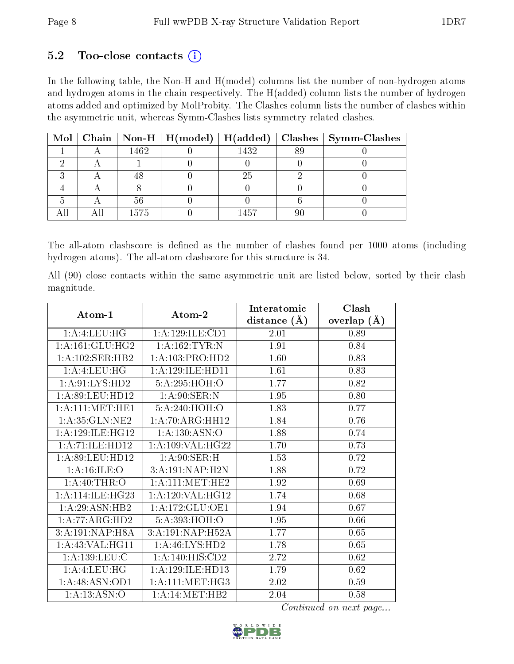### $5.2$  Too-close contacts  $(i)$

In the following table, the Non-H and H(model) columns list the number of non-hydrogen atoms and hydrogen atoms in the chain respectively. The H(added) column lists the number of hydrogen atoms added and optimized by MolProbity. The Clashes column lists the number of clashes within the asymmetric unit, whereas Symm-Clashes lists symmetry related clashes.

|  |      |      |    | Mol   Chain   Non-H   H(model)   H(added)   Clashes   Symm-Clashes |
|--|------|------|----|--------------------------------------------------------------------|
|  | 1462 | 1432 | 89 |                                                                    |
|  |      |      |    |                                                                    |
|  |      | 25   |    |                                                                    |
|  |      |      |    |                                                                    |
|  | 56   |      |    |                                                                    |
|  | 1575 | 1457 |    |                                                                    |

The all-atom clashscore is defined as the number of clashes found per 1000 atoms (including hydrogen atoms). The all-atom clashscore for this structure is 34.

All (90) close contacts within the same asymmetric unit are listed below, sorted by their clash magnitude.

|                      |                              | Interatomic      | Clash         |
|----------------------|------------------------------|------------------|---------------|
| Atom-1               | Atom-2                       | distance $(\AA)$ | overlap $(A)$ |
| 1: A:4: LEU: HG      | 1:A:129:ILE:CD1              | 2.01             | 0.89          |
| 1: A:161: GLU:HG2    | 1: A: 162: TYR: N            | 1.91             | 0.84          |
| 1:A:102:SER:HB2      | 1:A:103:PRO:HD2              | 1.60             | 0.83          |
| 1: A:4: LEU: HG      | 1: A: 129: ILE: HD11         | 1.61             | 0.83          |
| 1: A:91: LYS: HD2    | 5:A:295:HOH:O                | 1.77             | 0.82          |
| 1: A:89: LEU: HD12   | 1: A:90: SER: N              | 1.95             | 0.80          |
| 1: A:111:MET:HE1     | 5:A:240:HOH:O                | 1.83             | 0.77          |
| 1:A:35:GLN:NE2       | 1: A:70: ARG: HH12           | 1.84             | 0.76          |
| 1: A: 129: ILE: HG12 | 1: A: 130: ASN:O             | 1.88             | 0.74          |
| 1:A:71:ILE:HD12      | 1: A:109: VAL:HG22           | 1.70             | 0.73          |
| 1: A:89:LEU:HD12     | 1: A:90: SER:H               | 1.53             | 0.72          |
| 1: A:16: ILE: O      | 3:A:191:NAP:H2N              | 1.88             | 0.72          |
| 1: A:40:THR:O        | 1: A: 111: MET: HE2          | 1.92             | 0.69          |
| 1: A:114: ILE: HG23  | 1: A:120: VAL:HG12           | 1.74             | 0.68          |
| 1:A:29:ASN:HB2       | 1: A:172: GLU:OE1            | 1.94             | 0.67          |
| 1:A:77:ARG:HD2       | 5:A:393:HOH:O                | 1.95             | 0.66          |
| 3:A:191:NAP:H8A      | 3:A:191:NAP:H52A             | 1.77             | 0.65          |
| 1: A:43: VAL:HGI1    | 1: A:46: LYS: HD2            | 1.78             | 0.65          |
| 1: A: 139: LEU: C    | $1:A:140:HIS:\overline{CD2}$ | 2.72             | 0.62          |
| 1: A:4: LEU: HG      | 1: A: 129: ILE: HD13         | 1.79             | 0.62          |
| 1:A:48:ASN:OD1       | 1: A:111:MET:HG3             | 2.02             | 0.59          |
| 1: A: 13: ASN: O     | 1:A:14:MET:HB2               | 2.04             | 0.58          |

Continued on next page...

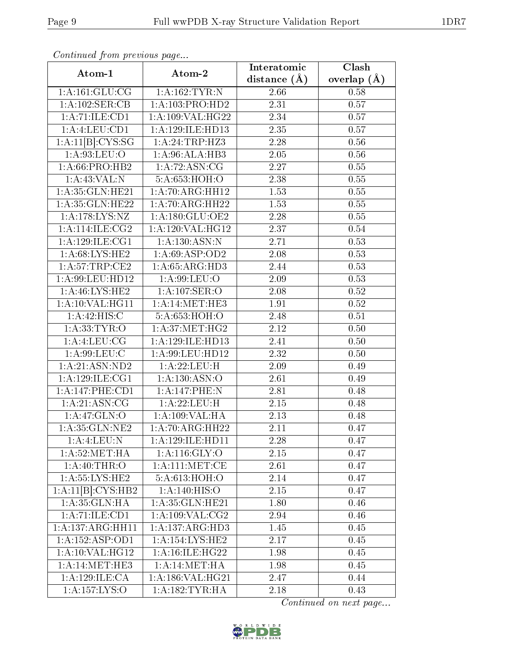| Continuation provided page    |                             | Interatomic       | Clash           |
|-------------------------------|-----------------------------|-------------------|-----------------|
| Atom-1                        | Atom-2                      | distance $(A)$    | overlap $(\AA)$ |
| 1: A:161: GLU:CG              | 1: A: 162: TYR: N           | 2.66              | 0.58            |
| 1:A:102:SER:CB                | 1: A:103: PRO:HD2           | 2.31              | 0.57            |
| 1:A:71:ILE:CD1                | 1: A:109: VAL:HG22          | 2.34              | 0.57            |
| 1: A: 4: LEU: CD1             | 1:A:129:ILE:HD13            | 2.35              | 0.57            |
| 1:A:11[B]:CYS:SG              | 1:A:24:TRP:HZ3              | 2.28              | 0.56            |
| 1: A:93:LEU:O                 | 1:A:96:ALA:HB3              | 2.05              | 0.56            |
| $1: A:66:\overline{PRO:HB2}$  | 1:A:72:ASN:CG               | 2.27              | 0.55            |
| 1:A:43:VAL:N                  | 5:A:653:HOH:O               | 2.38              | 0.55            |
| 1: A:35: GLN: HE21            | 1:A:70:ARG:HH12             | $\overline{1.53}$ | 0.55            |
| 1:A:35:GLN:HE22               | 1:A:70:ARG:HH22             | 1.53              | 0.55            |
| 1:A:178:LYS:NZ                | 1:A:180:GLU:OE2             | 2.28              | 0.55            |
| 1: A:114: ILE: CG2            | 1: A:120: VAL:HG12          | 2.37              | 0.54            |
| 1: A:129: ILE:CG1             | 1:A:130:ASN:N               | 2.71              | 0.53            |
| 1: A:68: LYS: HE2             | 1: A:69: ASP:OD2            | 2.08              | 0.53            |
| 1: A:57:TRP:CE2               | 1:A:65:ARG:HD3              | 2.44              | 0.53            |
| 1: A:99: LEU: HD12            | 1: A:99: LEU:O              | 2.09              | 0.53            |
| 1:A:46:LYS:HE2                | 1:A:107:SER:O               | 2.08              | 0.52            |
| 1:A:10:VAL:HG11               | 1: A:14: MET:HE3            | 1.91              | 0.52            |
| 1: A:42: HIS:C                | 5:A:653:HOH:O               | 2.48              | $0.51\,$        |
| 1: A: 33: TYR: O              | 1: A:37: MET:HG2            | 2.12              | 0.50            |
| 1: A: 4: LEU: CG              | 1: A: 129: ILE: HD13        | 2.41              | 0.50            |
| 1: A:99: LEU: C               | $1:$ A:99:LEU:HD12          | 2.32              | 0.50            |
| 1: A:21: ASN:ND2              | 1: A:22:LEU:H               | 2.09              | 0.49            |
| 1:A:129:ILE:CG1               | 1: A: 130: ASN:O            | 2.61              | 0.49            |
| 1:A:147:PHE:CD1               | 1:A:147:PHE:N               | 2.81              | 0.48            |
| 1: A:21: ASN:CG               | 1: A:22:LEU:H               | 2.15              | 0.48            |
| 1: A:47: GLN:O                | 1:A:109:VAL:HA              | 2.13              | 0.48            |
| 1: A:35: GLN:NE2              | 1: A:70:ARG:HH22            | 2.11              | 0.47            |
| 1:A:4:LEU:N                   | 1: A: 129: ILE: HD11        | 2.28              | 0.47            |
| 1: A:52:MET:HA                | 1:A:116:GLY:O               | 2.15              | 0.47            |
| 1: A:40:THR:O                 | 1: A:111:MET:CE             | 2.61              | 0.47            |
| 1: A: 55: LYS: HE2            | 5:A:613:HOH:O               | 2.14              | 0.47            |
| 1:A:11[B]:CYS:HB2             | 1: A: 140: HIS: O           | 2.15              | 0.47            |
| 1:A:35:GLN:HA                 | 1:A:35:GLN:HE21             | 1.80              | 0.46            |
| 1:A:71:ILE:CD1                | 1: A:109: VAL: CG2          | 2.94              | 0.46            |
| $1:A:137:A\overline{RG:HH11}$ | 1:A:137:ARG:HD3             | 1.45              | 0.45            |
| 1:A:152:ASP:OD1               | 1:A:154:LYS:HE2             | 2.17              | 0.45            |
| 1:A:10:VAL:HG12               | 1:A:16:ILE:HG22             | 1.98              | 0.45            |
| $1:A:14:MET:H\overline{E3}$   | 1: A:14: MET:HA             | 1.98              | 0.45            |
| 1:A:129:ILE:CA                | 1:A:186:VAL:HG21            | 2.47              | 0.44            |
| $1:\overline{A:157:LYS:O}$    | $1:A:\overline{182:TYR:HA}$ | 2.18              | 0.43            |

Continued from previous page.

Continued on next page...

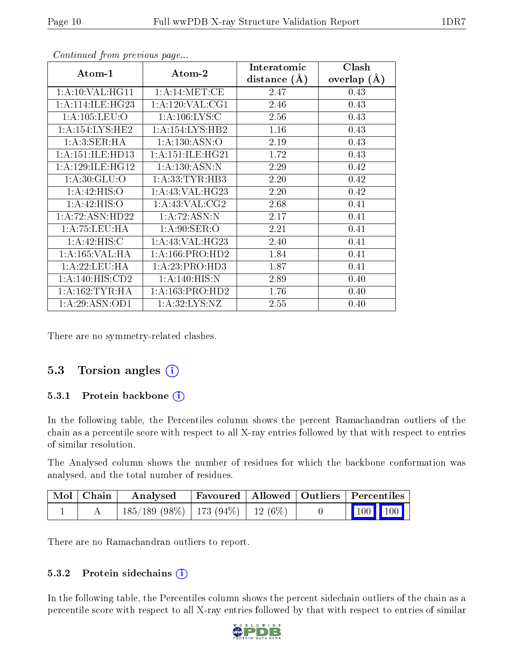| Atom-1              | Atom-2              | Interatomic      | Clash           |
|---------------------|---------------------|------------------|-----------------|
|                     |                     | distance $(\AA)$ | overlap $(\AA)$ |
| 1:A:10:VAL:HG11     | 1: A:14: MET:CE     | 2.47             | 0.43            |
| 1: A:114: ILE: HG23 | 1: A:120: VAL: CG1  | 2.46             | 0.43            |
| 1: A: 105: LEU: O   | 1: A:106: LYS: C    | 2.56             | 0.43            |
| 1:A:154:LYS:HE2     | 1: A: 154: LYS: HB2 | 1.16             | 0.43            |
| 1: A:3: SER: HA     | 1: A: 130: ASN:O    | 2.19             | 0.43            |
| 1:A:151:ILE:HD13    | 1: A:151: ILE:HG21  | 1.72             | 0.43            |
| 1: A:129: ILE: HG12 | 1:A:130:ASN:N       | 2.29             | 0.42            |
| 1: A:30: GLU:O      | 1: A: 33: TYR: HB3  | 2.20             | 0.42            |
| 1:A:42:HIS:O        | 1: A:43: VAL:HG23   | 2.20             | 0.42            |
| 1:A:42:HIS:O        | 1: A:43: VAL: CG2   | 2.68             | 0.41            |
| 1: A:72: ASN:HD22   | 1:A:72:ASN:N        | 2.17             | 0.41            |
| 1:A:75:LEU:HA       | 1: A:90: SER:O      | 2.21             | 0.41            |
| 1: A:42: HIS:C      | 1: A:43: VAL:HG23   | 2.40             | 0.41            |
| 1:A:165:VAL:HA      | 1: A: 166: PRO: HD2 | 1.84             | 0.41            |
| 1:A:22:LEU:HA       | 1:A:23:PRO:HD3      | 1.87             | 0.41            |
| 1:A:140:HIS:CD2     | 1: A:140: HIS:N     | 2.89             | 0.40            |
| 1: A: 162: TYR: HA  | 1: A: 163: PRO: HD2 | 1.76             | 0.40            |
| 1:A:29:ASN:OD1      | 1:A:32:LYS:NZ       | 2.55             | 0.40            |

Continued from previous page...

There are no symmetry-related clashes.

## 5.3 Torsion angles (i)

#### 5.3.1 Protein backbone (i)

In the following table, the Percentiles column shows the percent Ramachandran outliers of the chain as a percentile score with respect to all X-ray entries followed by that with respect to entries of similar resolution.

The Analysed column shows the number of residues for which the backbone conformation was analysed, and the total number of residues.

| $\mid$ Mol $\mid$ Chain $\mid$ | Analysed                                 | Favoured   Allowed   Outliers   Percentiles |  |                                                            |  |
|--------------------------------|------------------------------------------|---------------------------------------------|--|------------------------------------------------------------|--|
|                                | $185/189$ (98\%)   173 (94\%)   12 (6\%) |                                             |  | $\begin{array}{ c c c c }\n\hline\n100 & 100\n\end{array}$ |  |

There are no Ramachandran outliers to report.

#### 5.3.2 Protein sidechains  $(i)$

In the following table, the Percentiles column shows the percent sidechain outliers of the chain as a percentile score with respect to all X-ray entries followed by that with respect to entries of similar

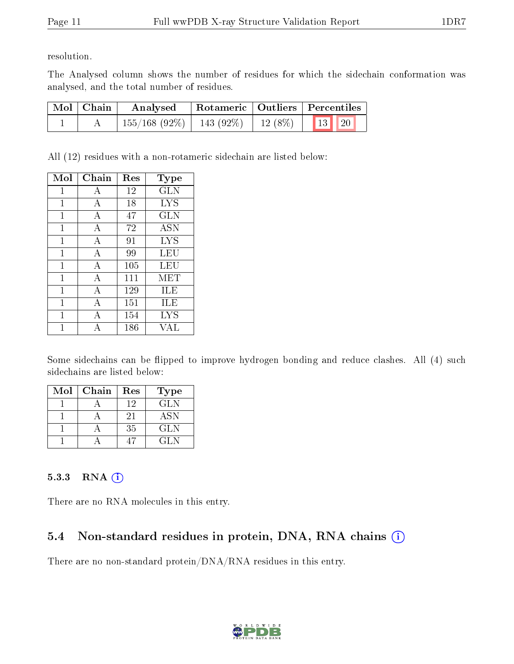resolution.

The Analysed column shows the number of residues for which the sidechain conformation was analysed, and the total number of residues.

| Mol   Chain | Analysed                      |           | Rotameric   Outliers   Percentiles                         |  |  |
|-------------|-------------------------------|-----------|------------------------------------------------------------|--|--|
|             | $155/168$ (92\%)   143 (92\%) | $12(8\%)$ | $\begin{array}{ c c c c c }\n\hline\n13 & 20\n\end{array}$ |  |  |

All (12) residues with a non-rotameric sidechain are listed below:

| Mol | Chain          | Res | Type       |
|-----|----------------|-----|------------|
| 1   | А              | 12  | GLN        |
| 1   | А              | 18  | <b>LYS</b> |
| 1   | A              | 47  | <b>GLN</b> |
| 1   | А              | 72  | <b>ASN</b> |
| 1   | $\overline{A}$ | 91  | <b>LYS</b> |
| 1   | $\overline{A}$ | 99  | LEU        |
| 1   | А              | 105 | LEU        |
| 1   | A              | 111 | MET        |
| 1   | А              | 129 | ILE        |
| 1   | A              | 151 | ILE        |
| 1   | А              | 154 | <b>LYS</b> |
|     |                | 186 | VAL        |

Some sidechains can be flipped to improve hydrogen bonding and reduce clashes. All (4) such sidechains are listed below:

| $\operatorname{Mol}$ | Chain | Res | Type       |
|----------------------|-------|-----|------------|
|                      |       | 12  | GLN        |
|                      |       | 21  | <b>ASN</b> |
|                      |       | 35  | GLN        |
|                      |       |     | GLN        |

### 5.3.3 RNA [O](https://www.wwpdb.org/validation/2017/XrayValidationReportHelp#rna)i

There are no RNA molecules in this entry.

## 5.4 Non-standard residues in protein, DNA, RNA chains (i)

There are no non-standard protein/DNA/RNA residues in this entry.

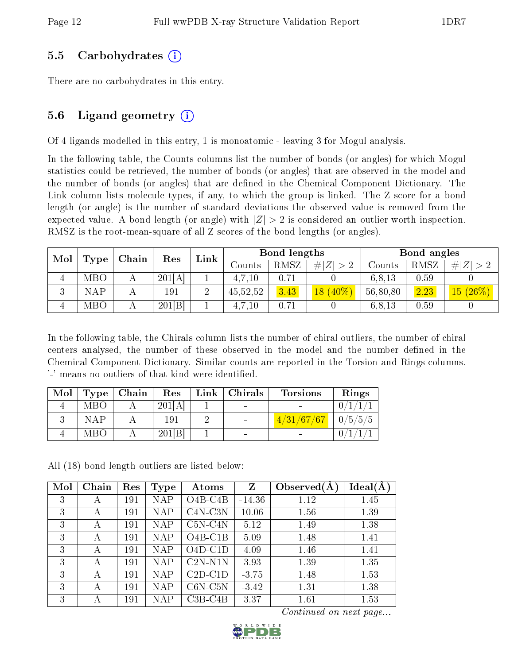### 5.5 Carbohydrates (i)

There are no carbohydrates in this entry.

## 5.6 Ligand geometry  $(i)$

Of 4 ligands modelled in this entry, 1 is monoatomic - leaving 3 for Mogul analysis.

In the following table, the Counts columns list the number of bonds (or angles) for which Mogul statistics could be retrieved, the number of bonds (or angles) that are observed in the model and the number of bonds (or angles) that are defined in the Chemical Component Dictionary. The Link column lists molecule types, if any, to which the group is linked. The Z score for a bond length (or angle) is the number of standard deviations the observed value is removed from the expected value. A bond length (or angle) with  $|Z| > 2$  is considered an outlier worth inspection. RMSZ is the root-mean-square of all Z scores of the bond lengths (or angles).

| Mol     |            | Chain | Res    | Link   | <b>Bond lengths</b> |      |             |          | Bond angles |                           |
|---------|------------|-------|--------|--------|---------------------|------|-------------|----------|-------------|---------------------------|
|         | Type       |       |        |        | ∪ounts              | RMSZ | # $ Z  > 2$ | Counts   | RMSZ        | H Z                       |
| 4       | <b>MBO</b> |       | 201[A] |        | 4.7.10              | 0.71 |             | 6,8,13   | 0.59        |                           |
| ച<br>k) | NAP        |       | 191    | ച<br>↵ | 45,52,52            | 3.43 | $18(40\%)$  | 56,80,80 | 2.23        | $\sqrt{(26\%)}$<br>$15\,$ |
|         | MBO        |       | 201[B] |        | 4,7,10              | 0.71 |             | 6,8,13   | 0.59        |                           |

In the following table, the Chirals column lists the number of chiral outliers, the number of chiral centers analysed, the number of these observed in the model and the number defined in the Chemical Component Dictionary. Similar counts are reported in the Torsion and Rings columns. '-' means no outliers of that kind were identified.

| Mol | Type       | Chain | Res    | Link   Christmas | <b>Torsions</b> | Rings   |
|-----|------------|-------|--------|------------------|-----------------|---------|
|     | MBO        |       | 201[A] | $\blacksquare$   |                 |         |
|     | <b>NAP</b> |       | 191    |                  | 4/31/67/67      | 0/5/5/5 |
|     | MBO        |       | 201[B] | $\sim$           |                 |         |

All (18) bond length outliers are listed below:

| Mol | Chain | Res | <b>Type</b> | Atoms      | Z        | Observed $(A)$ | Ideal(A) |
|-----|-------|-----|-------------|------------|----------|----------------|----------|
| 3   | A     | 191 | NAP         | $O4B-C4B$  | $-14.36$ | 1.12           | 1.45     |
| 3   | А     | 191 | <b>NAP</b>  | $C4N-C3N$  | 10.06    | 1.56           | 1.39     |
| 3   | А     | 191 | <b>NAP</b>  | $C5N-C4N$  | 5.12     | 1.49           | 1.38     |
| 3   | А     | 191 | NAP         | $O4B-C1B$  | 5.09     | 1.48           | 1.41     |
| 3   | А     | 191 | <b>NAP</b>  | $O4D-C1D$  | 4.09     | 1.46           | 1.41     |
| 3   | А     | 191 | <b>NAP</b>  | $C2N- N1N$ | 3.93     | 1.39           | 1.35     |
| 3   | А     | 191 | <b>NAP</b>  | $C2D-C1D$  | $-3.75$  | 1.48           | 1.53     |
| 3   | А     | 191 | NAP         | $C6N-C5N$  | $-3.42$  | 1.31           | 1.38     |
| 3   | А     | 191 | NAP         | $C3B-C4B$  | 3.37     | 1.61           | 1.53     |

Continued on next page...

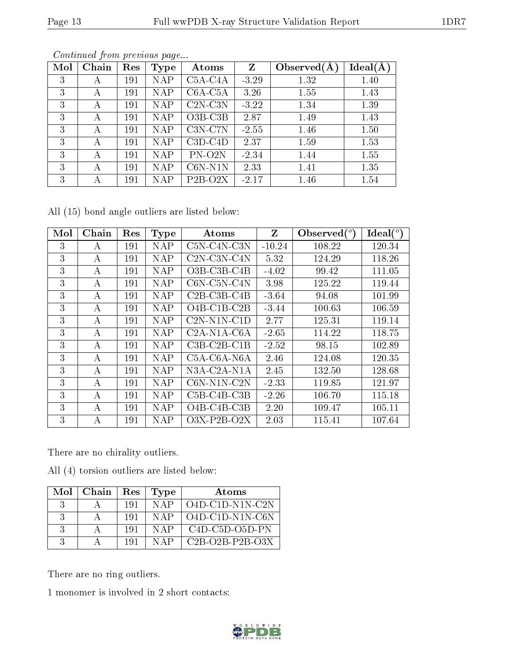|--|

| Mol | Chain | Res | Type       | Atoms               | Z       | Observed $(A)$ | Ideal(A) |
|-----|-------|-----|------------|---------------------|---------|----------------|----------|
| 3   | А     | 191 | NAP        | $C5A-C4A$           | $-3.29$ | 1.32           | 1.40     |
| 3   | А     | 191 | NAP        | $C6A-C5A$           | 3.26    | 1.55           | 1.43     |
| 3   | А     | 191 | <b>NAP</b> | $C2N-C3N$           | $-3.22$ | 1.34           | 1.39     |
| 3   | А     | 191 | NAP        | $O3B-C3B$           | 2.87    | 1.49           | 1.43     |
| 3   | А     | 191 | NAP        | $C3N-C7N$           | $-2.55$ | 1.46           | 1.50     |
| 3   | А     | 191 | <b>NAP</b> | $C3D-C4D$           | 2.37    | 1.59           | 1.53     |
| 3   | А     | 191 | NAP        | PN-O <sub>2</sub> N | $-2.34$ | 1.44           | 1.55     |
| 3   | А     | 191 | NAP        | $C6N-N1N$           | 2.33    | 1.41           | 1.35     |
| 3   | А     | 191 | NAP        | $P2B-O2X$           | $-2.17$ | 1.46           | 1.54     |

Continued from previous page...

All (15) bond angle outliers are listed below:

| Mol | Chain | Res | <b>Type</b> | Atoms                 | $\mathbf{Z}$ | Observed $(°)$ | $\text{Ideal}({}^o)$ |
|-----|-------|-----|-------------|-----------------------|--------------|----------------|----------------------|
| 3   | А     | 191 | <b>NAP</b>  | $C5N-C4N-C3N$         | $-10.24$     | 108.22         | 120.34               |
| 3   | А     | 191 | <b>NAP</b>  | $C2N-C3N-C4N$         | 5.32         | 124.29         | 118.26               |
| 3   | А     | 191 | <b>NAP</b>  | $O3B$ -C3B-C4B        | $-4.02$      | 99.42          | 111.05               |
| 3   | А     | 191 | <b>NAP</b>  | $C6N$ - $C5N$ - $C4N$ | 3.98         | 125.22         | 119.44               |
| 3   | A     | 191 | <b>NAP</b>  | $C2B-C3B-C4B$         | $-3.64$      | 94.08          | 101.99               |
| 3   | А     | 191 | <b>NAP</b>  | O4B-C1B-C2B           | $-3.44$      | 100.63         | 106.59               |
| 3   | А     | 191 | <b>NAP</b>  | $C2N-N1N-CD$          | 2.77         | 125.31         | 119.14               |
| 3   | A     | 191 | <b>NAP</b>  | $C2A-N1A-C6A$         | $-2.65$      | 114.22         | 118.75               |
| 3   | A     | 191 | <b>NAP</b>  | $C3B-C2B-C1B$         | $-2.52$      | 98.15          | 102.89               |
| 3   | A     | 191 | NAP         | C5A-C6A-N6A           | 2.46         | 124.08         | 120.35               |
| 3   | А     | 191 | <b>NAP</b>  | N3A-C2A-N1A           | 2.45         | 132.50         | 128.68               |
| 3   | A     | 191 | <b>NAP</b>  | $C6N-N1N-C2N$         | $-2.33$      | 119.85         | 121.97               |
| 3   | A     | 191 | NAP         | $C5B-C4B-C3B$         | $-2.26$      | 106.70         | 115.18               |
| 3   | А     | 191 | <b>NAP</b>  | $O4B-C4B-C3B$         | 2.20         | 109.47         | 105.11               |
| 3   | А     | 191 | NAP         | $O3X-P2B-O2X$         | 2.03         | 115.41         | 107.64               |

There are no chirality outliers.

All (4) torsion outliers are listed below:

| Mol | Chain | Res | Type  | Atoms             |
|-----|-------|-----|-------|-------------------|
| 3   |       | 191 | N A P | $O4D-C1D-N1N-C2N$ |
| 3   |       | 191 | NAP   | $O4D-C1D-N1N-C6N$ |
| 3   |       | 191 | N A P | $C4D-C5D-O5D-PN$  |
| 3   |       | 191 | N A P | $C2B-O2B-P2B-O3X$ |

There are no ring outliers.

1 monomer is involved in 2 short contacts:

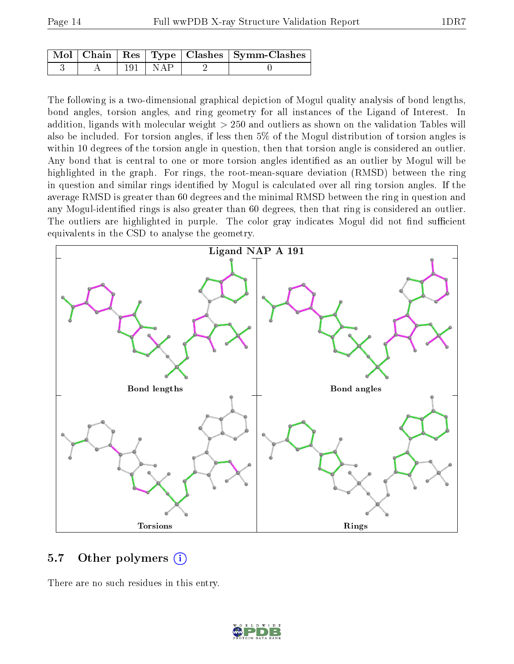|  |             | Mol   Chain   Res   Type   Clashes   Symm-Clashes |
|--|-------------|---------------------------------------------------|
|  | $191 + NAP$ |                                                   |

The following is a two-dimensional graphical depiction of Mogul quality analysis of bond lengths, bond angles, torsion angles, and ring geometry for all instances of the Ligand of Interest. In addition, ligands with molecular weight > 250 and outliers as shown on the validation Tables will also be included. For torsion angles, if less then 5% of the Mogul distribution of torsion angles is within 10 degrees of the torsion angle in question, then that torsion angle is considered an outlier. Any bond that is central to one or more torsion angles identified as an outlier by Mogul will be highlighted in the graph. For rings, the root-mean-square deviation (RMSD) between the ring in question and similar rings identified by Mogul is calculated over all ring torsion angles. If the average RMSD is greater than 60 degrees and the minimal RMSD between the ring in question and any Mogul-identified rings is also greater than 60 degrees, then that ring is considered an outlier. The outliers are highlighted in purple. The color gray indicates Mogul did not find sufficient equivalents in the CSD to analyse the geometry.



### 5.7 [O](https://www.wwpdb.org/validation/2017/XrayValidationReportHelp#nonstandard_residues_and_ligands)ther polymers (i)

There are no such residues in this entry.

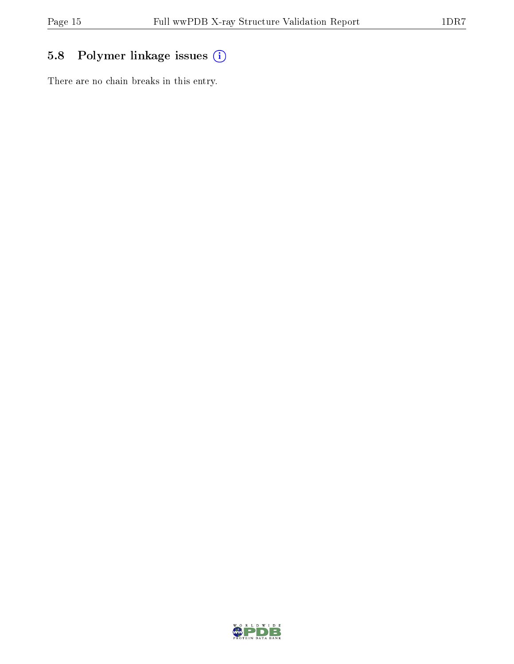## 5.8 Polymer linkage issues (i)

There are no chain breaks in this entry.